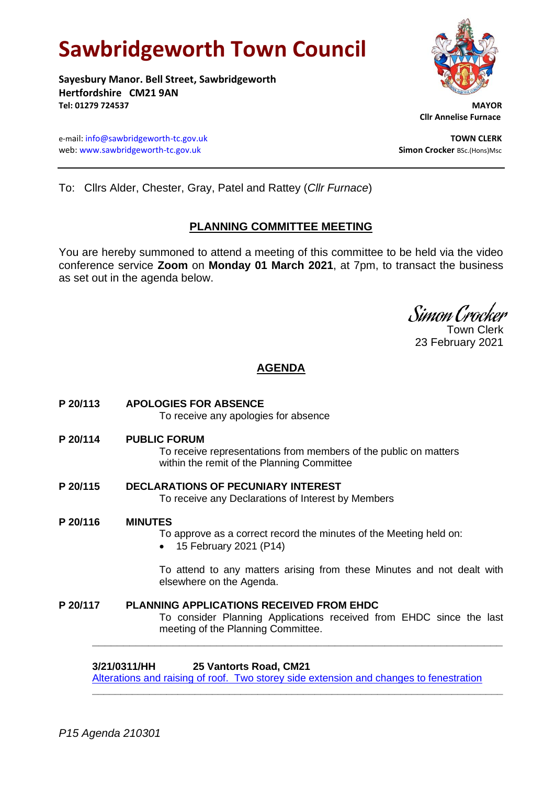# **Sawbridgeworth Town Council**

**Sayesbury Manor. Bell Street, Sawbridgeworth Hertfordshire CM21 9AN Tel: 01279 724537 MAYOR**

e-mail[: info@sawbridgeworth-tc.gov.uk](mailto:info@sawbridgeworth-tc.gov.uk)<br>
web: www.sawbridgeworth-tc.gov.uk **TOWN CLERK**<br>
Simon Crocker Bsc.(Hons)Msc web: www.sawbridgeworth-tc.gov.uk



 **Cllr Annelise Furnace**

To: Cllrs Alder, Chester, Gray, Patel and Rattey (*Cllr Furnace*)

## **PLANNING COMMITTEE MEETING**

You are hereby summoned to attend a meeting of this committee to be held via the video conference service **Zoom** on **Monday 01 March 2021**, at 7pm, to transact the business as set out in the agenda below.

Simon Crocker Town Clerk

23 February 2021

# **AGENDA**

- **P 20/113 APOLOGIES FOR ABSENCE** To receive any apologies for absence
- **P 20/114 PUBLIC FORUM** To receive representations from members of the public on matters within the remit of the Planning Committee
- **P 20/115 DECLARATIONS OF PECUNIARY INTEREST** To receive any Declarations of Interest by Members
- **P 20/116 MINUTES**

To approve as a correct record the minutes of the Meeting held on:

• 15 February 2021 (P14)

To attend to any matters arising from these Minutes and not dealt with elsewhere on the Agenda.

**P 20/117 PLANNING APPLICATIONS RECEIVED FROM EHDC** To consider Planning Applications received from EHDC since the last meeting of the Planning Committee. **\_\_\_\_\_\_\_\_\_\_\_\_\_\_\_\_\_\_\_\_\_\_\_\_\_\_\_\_\_\_\_\_\_\_\_\_\_\_\_\_\_\_\_\_\_\_\_\_\_\_\_\_\_\_\_\_\_\_\_\_\_\_\_\_\_\_**

**3/21/0311/HH 25 Vantorts Road, CM21**

[Alterations and raising of roof. Two storey side extension and changes to fenestration](https://publicaccess.eastherts.gov.uk/online-applications/applicationDetails.do?activeTab=documents&keyVal=QO7IG6GL04O00)

**\_\_\_\_\_\_\_\_\_\_\_\_\_\_\_\_\_\_\_\_\_\_\_\_\_\_\_\_\_\_\_\_\_\_\_\_\_\_\_\_\_\_\_\_\_\_\_\_\_\_\_\_\_\_\_\_\_\_\_\_\_\_\_\_\_\_\_\_\_\_\_\_**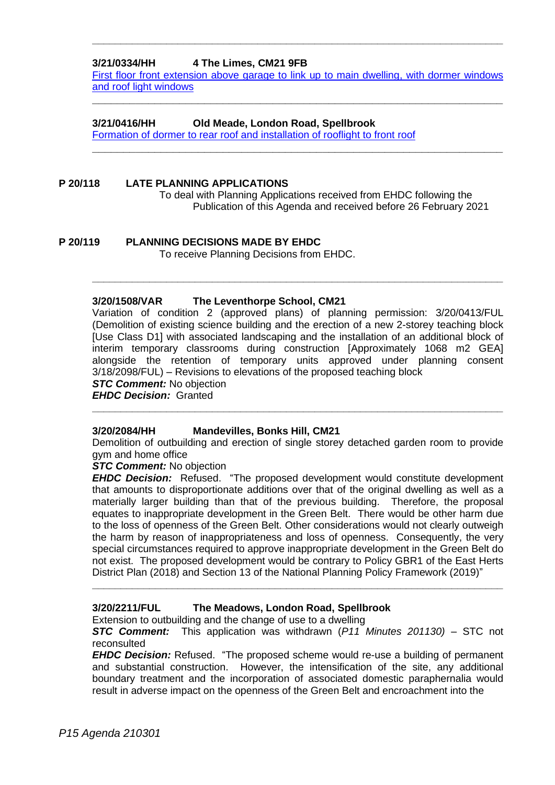#### **3/21/0334/HH 4 The Limes, CM21 9FB**

[First floor front extension above garage to link up to main dwelling,](https://publicaccess.eastherts.gov.uk/online-applications/applicationDetails.do?activeTab=documents&keyVal=QO9R8QGLKV100) with dormer windows [and roof light windows](https://publicaccess.eastherts.gov.uk/online-applications/applicationDetails.do?activeTab=documents&keyVal=QO9R8QGLKV100)

**\_\_\_\_\_\_\_\_\_\_\_\_\_\_\_\_\_\_\_\_\_\_\_\_\_\_\_\_\_\_\_\_\_\_\_\_\_\_\_\_\_\_\_\_\_\_\_\_\_\_\_\_\_\_\_\_\_\_\_\_\_\_\_\_\_\_**

**\_\_\_\_\_\_\_\_\_\_\_\_\_\_\_\_\_\_\_\_\_\_\_\_\_\_\_\_\_\_\_\_\_\_\_\_\_\_\_\_\_\_\_\_\_\_\_\_\_\_\_\_\_\_\_\_\_\_\_\_\_\_\_\_\_\_**

**\_\_\_\_\_\_\_\_\_\_\_\_\_\_\_\_\_\_\_\_\_\_\_\_\_\_\_\_\_\_\_\_\_\_\_\_\_\_\_\_\_\_\_\_\_\_\_\_\_\_\_\_\_\_\_\_\_\_\_\_\_\_\_\_\_\_\_\_\_\_\_\_**

#### **3/21/0416/HH Old Meade, London Road, Spellbrook**

[Formation of dormer to rear roof and installation of rooflight to front roof](https://publicaccess.eastherts.gov.uk/online-applications/applicationDetails.do?activeTab=documents&keyVal=QOO9F1GLL0J00)

#### **P 20/118 LATE PLANNING APPLICATIONS** To deal with Planning Applications received from EHDC following the Publication of this Agenda and received before 26 February 2021

**P 20/119 PLANNING DECISIONS MADE BY EHDC** To receive Planning Decisions from EHDC.

#### **3/20/1508/VAR The Leventhorpe School, CM21**

Variation of condition 2 (approved plans) of planning permission: 3/20/0413/FUL (Demolition of existing science building and the erection of a new 2-storey teaching block [Use Class D1] with associated landscaping and the installation of an additional block of interim temporary classrooms during construction [Approximately 1068 m2 GEA] alongside the retention of temporary units approved under planning consent 3/18/2098/FUL) – Revisions to elevations of the proposed teaching block

**\_\_\_\_\_\_\_\_\_\_\_\_\_\_\_\_\_\_\_\_\_\_\_\_\_\_\_\_\_\_\_\_\_\_\_\_\_\_\_\_\_\_\_\_\_\_\_\_\_\_\_\_\_\_\_\_\_\_\_\_\_\_\_\_\_\_\_\_\_\_\_\_**

### **STC Comment:** No objection

*EHDC Decision:* Granted

#### **3/20/2084/HH Mandevilles, Bonks Hill, CM21**

Demolition of outbuilding and erection of single storey detached garden room to provide gym and home office

**\_\_\_\_\_\_\_\_\_\_\_\_\_\_\_\_\_\_\_\_\_\_\_\_\_\_\_\_\_\_\_\_\_\_\_\_\_\_\_\_\_\_\_\_\_\_\_\_\_\_\_\_\_\_\_\_\_\_\_\_\_\_\_\_\_\_\_\_\_\_\_\_**

#### *STC Comment:* No objection

*EHDC Decision:* Refused. "The proposed development would constitute development that amounts to disproportionate additions over that of the original dwelling as well as a materially larger building than that of the previous building. Therefore, the proposal equates to inappropriate development in the Green Belt. There would be other harm due to the loss of openness of the Green Belt. Other considerations would not clearly outweigh the harm by reason of inappropriateness and loss of openness. Consequently, the very special circumstances required to approve inappropriate development in the Green Belt do not exist. The proposed development would be contrary to Policy GBR1 of the East Herts District Plan (2018) and Section 13 of the National Planning Policy Framework (2019)"

#### **3/20/2211/FUL The Meadows, London Road, Spellbrook**

Extension to outbuilding and the change of use to a dwelling

*STC Comment:* This application was withdrawn (*P11 Minutes 201130)* – STC not reconsulted

**\_\_\_\_\_\_\_\_\_\_\_\_\_\_\_\_\_\_\_\_\_\_\_\_\_\_\_\_\_\_\_\_\_\_\_\_\_\_\_\_\_\_\_\_\_\_\_\_\_\_\_\_\_\_\_\_\_\_\_\_\_\_\_\_\_\_\_\_\_\_\_\_**

*EHDC Decision:* Refused. "The proposed scheme would re-use a building of permanent and substantial construction. However, the intensification of the site, any additional boundary treatment and the incorporation of associated domestic paraphernalia would result in adverse impact on the openness of the Green Belt and encroachment into the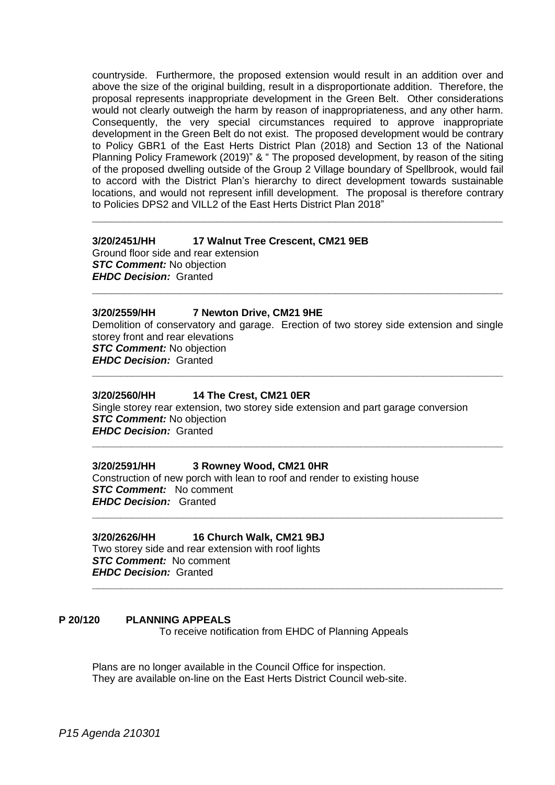countryside. Furthermore, the proposed extension would result in an addition over and above the size of the original building, result in a disproportionate addition. Therefore, the proposal represents inappropriate development in the Green Belt. Other considerations would not clearly outweigh the harm by reason of inappropriateness, and any other harm. Consequently, the very special circumstances required to approve inappropriate development in the Green Belt do not exist. The proposed development would be contrary to Policy GBR1 of the East Herts District Plan (2018) and Section 13 of the National Planning Policy Framework (2019)" & " The proposed development, by reason of the siting of the proposed dwelling outside of the Group 2 Village boundary of Spellbrook, would fail to accord with the District Plan's hierarchy to direct development towards sustainable locations, and would not represent infill development. The proposal is therefore contrary to Policies DPS2 and VILL2 of the East Herts District Plan 2018"

**\_\_\_\_\_\_\_\_\_\_\_\_\_\_\_\_\_\_\_\_\_\_\_\_\_\_\_\_\_\_\_\_\_\_\_\_\_\_\_\_\_\_\_\_\_\_\_\_\_\_\_\_\_\_\_\_\_\_\_\_\_\_\_\_\_\_**

#### **3/20/2451/HH 17 Walnut Tree Crescent, CM21 9EB**

Ground floor side and rear extension *STC Comment:* No objection *EHDC Decision:* Granted

#### **3/20/2559/HH 7 Newton Drive, CM21 9HE**

Demolition of conservatory and garage. Erection of two storey side extension and single storey front and rear elevations *STC Comment:* No objection *EHDC Decision:* Granted

**\_\_\_\_\_\_\_\_\_\_\_\_\_\_\_\_\_\_\_\_\_\_\_\_\_\_\_\_\_\_\_\_\_\_\_\_\_\_\_\_\_\_\_\_\_\_\_\_\_\_\_\_\_\_\_\_\_\_\_\_\_\_\_\_\_\_\_\_\_\_\_\_**

**\_\_\_\_\_\_\_\_\_\_\_\_\_\_\_\_\_\_\_\_\_\_\_\_\_\_\_\_\_\_\_\_\_\_\_\_\_\_\_\_\_\_\_\_\_\_\_\_\_\_\_\_\_\_\_\_\_\_\_\_\_\_\_\_\_\_\_\_\_\_\_\_**

**\_\_\_\_\_\_\_\_\_\_\_\_\_\_\_\_\_\_\_\_\_\_\_\_\_\_\_\_\_\_\_\_\_\_\_\_\_\_\_\_\_\_\_\_\_\_\_\_\_\_\_\_\_\_\_\_\_\_\_\_\_\_\_\_\_\_\_\_\_\_\_\_**

**\_\_\_\_\_\_\_\_\_\_\_\_\_\_\_\_\_\_\_\_\_\_\_\_\_\_\_\_\_\_\_\_\_\_\_\_\_\_\_\_\_\_\_\_\_\_\_\_\_\_\_\_\_\_\_\_\_\_\_\_\_\_\_\_\_\_\_\_\_\_\_\_**

**\_\_\_\_\_\_\_\_\_\_\_\_\_\_\_\_\_\_\_\_\_\_\_\_\_\_\_\_\_\_\_\_\_\_\_\_\_\_\_\_\_\_\_\_\_\_\_\_\_\_\_\_\_\_\_\_\_\_\_\_\_\_\_\_\_\_**

#### **3/20/2560/HH 14 The Crest, CM21 0ER**

Single storey rear extension, two storey side extension and part garage conversion *STC Comment:* No objection *EHDC Decision:* Granted

#### **3/20/2591/HH 3 Rowney Wood, CM21 0HR**

Construction of new porch with lean to roof and render to existing house *STC Comment:* No comment *EHDC Decision:* Granted

#### **3/20/2626/HH 16 Church Walk, CM21 9BJ**

Two storey side and rear extension with roof lights *STC Comment:* No comment *EHDC Decision:* Granted

#### **P 20/120 PLANNING APPEALS**

To receive notification from EHDC of Planning Appeals

Plans are no longer available in the Council Office for inspection. They are available on-line on the East Herts District Council web-site.